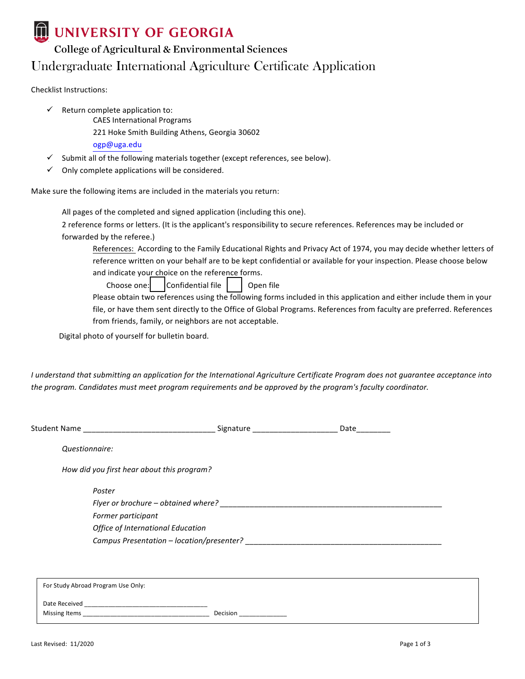

## **DUNIVERSITY OF GEORGIA**

## College of Agricultural & Environmental Sciences Undergraduate International Agriculture Certificate Application

Checklist Instructions:

- $\checkmark$  Return complete application to:
	- CAES International Programs
	- 221 Hoke Smith Building Athens, Georgia 30602
	- ogp@uga.edu
- Submit all of the following materials together (except references, see below).
- $\checkmark$  Only complete applications will be considered.

Make sure the following items are included in the materials you return:

All pages of the completed and signed application (including this one).

2 reference forms or letters. (It is the applicant's responsibility to secure references. References may be included or forwarded by the referee.)

References: According to the Family Educational Rights and Privacy Act of 1974, you may decide whether letters of reference written on your behalf are to be kept confidential or available for your inspection. Please choose below and indicate your choice on the reference forms.

Choose one:  $\vert$  Confidential file  $\vert$   $\vert$  Open file

Please obtain two references using the following forms included in this application and either include them in your file, or have them sent directly to the Office of Global Programs. References from faculty are preferred. References from friends, family, or neighbors are not acceptable.

Digital photo of yourself for bulletin board.

*I* understand that submitting an application for the International Agriculture Certificate Program does not guarantee acceptance into the program. Candidates must meet program requirements and be approved by the program's faculty coordinator.

|                                            | Signature ____________________ | Date |
|--------------------------------------------|--------------------------------|------|
| Questionnaire:                             |                                |      |
| How did you first hear about this program? |                                |      |
| Poster                                     |                                |      |
|                                            |                                |      |
| Former participant                         |                                |      |
| <b>Office of International Education</b>   |                                |      |
|                                            |                                |      |
|                                            |                                |      |
|                                            |                                |      |
| For Study Abroad Program Use Only:         |                                |      |

| Date Received<br>_____ |          |
|------------------------|----------|
| Missing Items<br>____  | Decision |
|                        |          |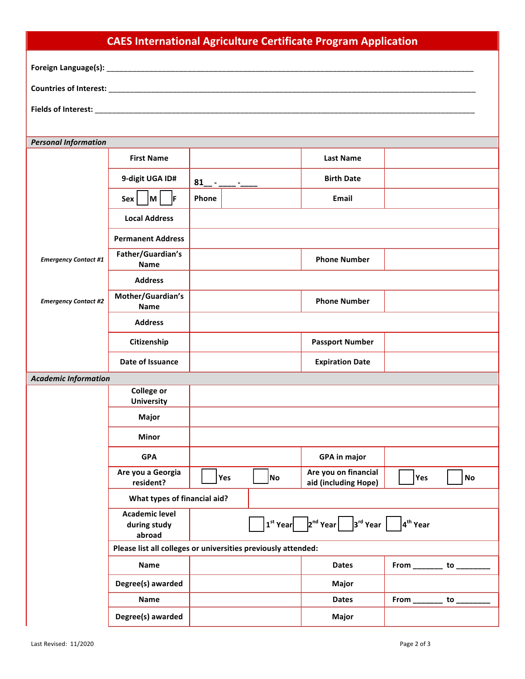|                             | <b>CAES International Agriculture Certificate Program Application</b> |           |    |                                                                                                                                                                                               |                             |    |
|-----------------------------|-----------------------------------------------------------------------|-----------|----|-----------------------------------------------------------------------------------------------------------------------------------------------------------------------------------------------|-----------------------------|----|
|                             |                                                                       |           |    |                                                                                                                                                                                               |                             |    |
|                             |                                                                       |           |    |                                                                                                                                                                                               |                             |    |
|                             |                                                                       |           |    |                                                                                                                                                                                               |                             |    |
|                             |                                                                       |           |    |                                                                                                                                                                                               |                             |    |
| <b>Personal Information</b> |                                                                       |           |    |                                                                                                                                                                                               |                             |    |
|                             | <b>First Name</b>                                                     |           |    | <b>Last Name</b>                                                                                                                                                                              |                             |    |
|                             | 9-digit UGA ID#                                                       | $81 -  -$ |    | <b>Birth Date</b>                                                                                                                                                                             |                             |    |
|                             | M <br>lF.<br>Sex                                                      | Phone     |    | Email                                                                                                                                                                                         |                             |    |
|                             | <b>Local Address</b>                                                  |           |    |                                                                                                                                                                                               |                             |    |
|                             | <b>Permanent Address</b>                                              |           |    |                                                                                                                                                                                               |                             |    |
| <b>Emergency Contact #1</b> | Father/Guardian's<br>Name                                             |           |    | <b>Phone Number</b>                                                                                                                                                                           |                             |    |
|                             | <b>Address</b>                                                        |           |    |                                                                                                                                                                                               |                             |    |
| <b>Emergency Contact #2</b> | Mother/Guardian's<br><b>Name</b>                                      |           |    | <b>Phone Number</b>                                                                                                                                                                           |                             |    |
|                             | <b>Address</b>                                                        |           |    |                                                                                                                                                                                               |                             |    |
|                             | Citizenship                                                           |           |    | <b>Passport Number</b>                                                                                                                                                                        |                             |    |
|                             | Date of Issuance                                                      |           |    | <b>Expiration Date</b>                                                                                                                                                                        |                             |    |
| <b>Academic Information</b> |                                                                       |           |    |                                                                                                                                                                                               |                             |    |
|                             | <b>College or</b><br><b>University</b>                                |           |    |                                                                                                                                                                                               |                             |    |
|                             | Major                                                                 |           |    |                                                                                                                                                                                               |                             |    |
|                             | <b>Minor</b>                                                          |           |    |                                                                                                                                                                                               |                             |    |
|                             | <b>GPA</b>                                                            |           |    | <b>GPA in major</b>                                                                                                                                                                           |                             |    |
|                             | Are you a Georgia<br>resident?                                        | Yes       | No | Are you on financial<br>aid (including Hope)                                                                                                                                                  | Yes                         | No |
|                             | What types of financial aid?                                          |           |    |                                                                                                                                                                                               |                             |    |
|                             | <b>Academic level</b><br>during study<br>abroad                       |           |    | $\left  \mathbf{1}^{\text{st}}$ Year $\left  \begin{array}{ccc} 2^{\text{nd}}$ Year $\left  \begin{array}{ccc} 3^{\text{rd}}$ Year $\end{array} \right  & \left  \mathbf{4}^{\text{th}}$ Year |                             |    |
|                             | Please list all colleges or universities previously attended:         |           |    |                                                                                                                                                                                               |                             |    |
|                             | Name                                                                  |           |    | <b>Dates</b>                                                                                                                                                                                  | From ____________ to ______ |    |
|                             | Degree(s) awarded                                                     |           |    | Major                                                                                                                                                                                         |                             |    |
|                             | Name                                                                  |           |    | <b>Dates</b>                                                                                                                                                                                  | From ___________ to __      |    |
|                             | Degree(s) awarded                                                     |           |    | Major                                                                                                                                                                                         |                             |    |